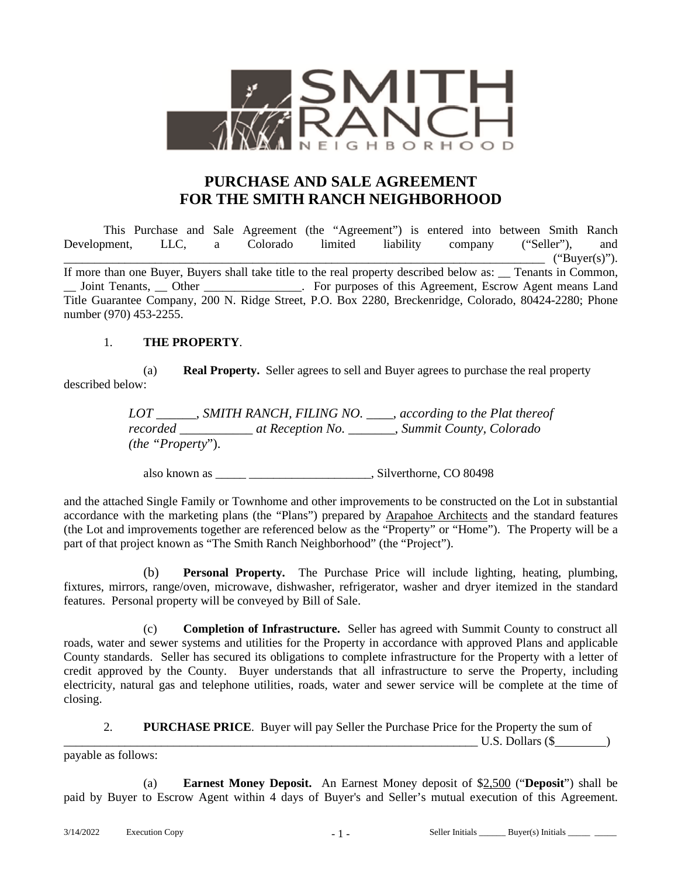

# **PURCHASE AND SALE AGREEMENT FOR THE SMITH RANCH NEIGHBORHOOD**

This Purchase and Sale Agreement (the "Agreement") is entered into between Smith Ranch Development, LLC, a Colorado limited liability company ("Seller"), and  $``Buyer(s)".$ If more than one Buyer, Buyers shall take title to the real property described below as: \_\_ Tenants in Common, \_\_ Joint Tenants, \_\_ Other \_\_\_\_\_\_\_\_\_\_\_\_\_\_\_\_. For purposes of this Agreement, Escrow Agent means Land Title Guarantee Company, 200 N. Ridge Street, P.O. Box 2280, Breckenridge, Colorado, 80424-2280; Phone number (970) 453-2255.

#### 1. **THE PROPERTY**.

(a) **Real Property.** Seller agrees to sell and Buyer agrees to purchase the real property described below:

> *LOT \_\_\_\_\_\_, SMITH RANCH, FILING NO. \_\_\_\_, according to the Plat thereof recorded \_\_\_\_\_\_\_\_\_\_\_ at Reception No. \_\_\_\_\_\_\_, Summit County, Colorado (the "Property*").

also known as \_\_\_\_\_ \_\_\_\_\_\_\_\_\_\_\_\_\_\_\_\_\_\_\_\_, Silverthorne, CO 80498

and the attached Single Family or Townhome and other improvements to be constructed on the Lot in substantial accordance with the marketing plans (the "Plans") prepared by Arapahoe Architects and the standard features (the Lot and improvements together are referenced below as the "Property" or "Home"). The Property will be a part of that project known as "The Smith Ranch Neighborhood" (the "Project").

(b) **Personal Property.** The Purchase Price will include lighting, heating, plumbing, fixtures, mirrors, range/oven, microwave, dishwasher, refrigerator, washer and dryer itemized in the standard features. Personal property will be conveyed by Bill of Sale.

(c) **Completion of Infrastructure.** Seller has agreed with Summit County to construct all roads, water and sewer systems and utilities for the Property in accordance with approved Plans and applicable County standards. Seller has secured its obligations to complete infrastructure for the Property with a letter of credit approved by the County. Buyer understands that all infrastructure to serve the Property, including electricity, natural gas and telephone utilities, roads, water and sewer service will be complete at the time of closing.

2. **PURCHASE PRICE**. Buyer will pay Seller the Purchase Price for the Property the sum of

 $U.S.$  Dollars ( $\$\)$ 

payable as follows:

(a) **Earnest Money Deposit.** An Earnest Money deposit of \$2,500 ("**Deposit**") shall be paid by Buyer to Escrow Agent within 4 days of Buyer's and Seller's mutual execution of this Agreement.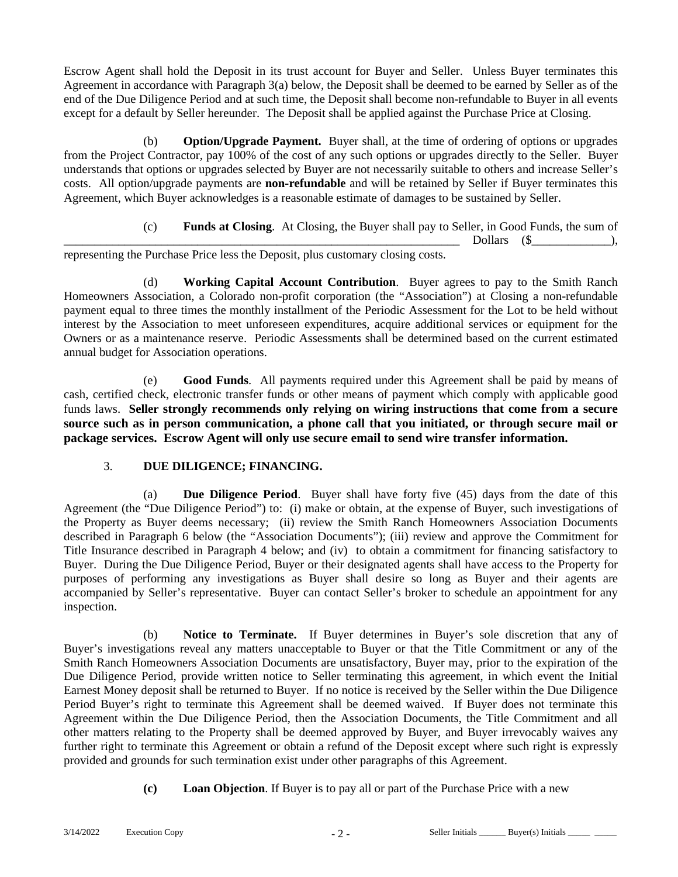Escrow Agent shall hold the Deposit in its trust account for Buyer and Seller. Unless Buyer terminates this Agreement in accordance with Paragraph 3(a) below, the Deposit shall be deemed to be earned by Seller as of the end of the Due Diligence Period and at such time, the Deposit shall become non-refundable to Buyer in all events except for a default by Seller hereunder. The Deposit shall be applied against the Purchase Price at Closing.

(b) **Option/Upgrade Payment.** Buyer shall, at the time of ordering of options or upgrades from the Project Contractor, pay 100% of the cost of any such options or upgrades directly to the Seller. Buyer understands that options or upgrades selected by Buyer are not necessarily suitable to others and increase Seller's costs. All option/upgrade payments are **non-refundable** and will be retained by Seller if Buyer terminates this Agreement, which Buyer acknowledges is a reasonable estimate of damages to be sustained by Seller.

> (c) **Funds at Closing**. At Closing, the Buyer shall pay to Seller, in Good Funds, the sum of \_\_\_\_\_\_\_\_\_\_\_\_\_\_\_\_\_\_\_\_\_\_\_\_\_\_\_\_\_\_\_\_\_\_\_\_\_\_\_\_\_\_\_\_\_\_\_\_\_\_\_\_\_\_\_\_\_\_\_\_\_\_\_\_\_ Dollars (\$\_\_\_\_\_\_\_\_\_\_\_\_\_),

representing the Purchase Price less the Deposit, plus customary closing costs.

(d) **Working Capital Account Contribution**. Buyer agrees to pay to the Smith Ranch Homeowners Association, a Colorado non-profit corporation (the "Association") at Closing a non-refundable payment equal to three times the monthly installment of the Periodic Assessment for the Lot to be held without interest by the Association to meet unforeseen expenditures, acquire additional services or equipment for the Owners or as a maintenance reserve. Periodic Assessments shall be determined based on the current estimated annual budget for Association operations.

(e) **Good Funds**. All payments required under this Agreement shall be paid by means of cash, certified check, electronic transfer funds or other means of payment which comply with applicable good funds laws. **Seller strongly recommends only relying on wiring instructions that come from a secure source such as in person communication, a phone call that you initiated, or through secure mail or package services. Escrow Agent will only use secure email to send wire transfer information.** 

## 3. **DUE DILIGENCE; FINANCING.**

(a) **Due Diligence Period**. Buyer shall have forty five (45) days from the date of this Agreement (the "Due Diligence Period") to: (i) make or obtain, at the expense of Buyer, such investigations of the Property as Buyer deems necessary; (ii) review the Smith Ranch Homeowners Association Documents described in Paragraph 6 below (the "Association Documents"); (iii) review and approve the Commitment for Title Insurance described in Paragraph 4 below; and (iv) to obtain a commitment for financing satisfactory to Buyer. During the Due Diligence Period, Buyer or their designated agents shall have access to the Property for purposes of performing any investigations as Buyer shall desire so long as Buyer and their agents are accompanied by Seller's representative. Buyer can contact Seller's broker to schedule an appointment for any inspection.

(b) **Notice to Terminate.** If Buyer determines in Buyer's sole discretion that any of Buyer's investigations reveal any matters unacceptable to Buyer or that the Title Commitment or any of the Smith Ranch Homeowners Association Documents are unsatisfactory, Buyer may, prior to the expiration of the Due Diligence Period, provide written notice to Seller terminating this agreement, in which event the Initial Earnest Money deposit shall be returned to Buyer. If no notice is received by the Seller within the Due Diligence Period Buyer's right to terminate this Agreement shall be deemed waived. If Buyer does not terminate this Agreement within the Due Diligence Period, then the Association Documents, the Title Commitment and all other matters relating to the Property shall be deemed approved by Buyer, and Buyer irrevocably waives any further right to terminate this Agreement or obtain a refund of the Deposit except where such right is expressly provided and grounds for such termination exist under other paragraphs of this Agreement.

**(c) Loan Objection**. If Buyer is to pay all or part of the Purchase Price with a new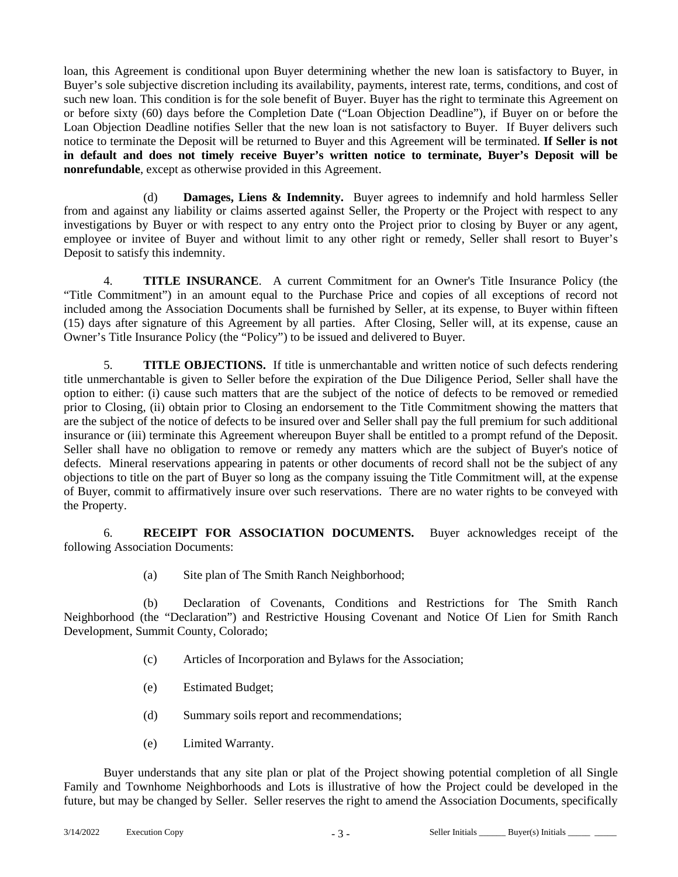loan, this Agreement is conditional upon Buyer determining whether the new loan is satisfactory to Buyer, in Buyer's sole subjective discretion including its availability, payments, interest rate, terms, conditions, and cost of such new loan. This condition is for the sole benefit of Buyer. Buyer has the right to terminate this Agreement on or before sixty (60) days before the Completion Date ("Loan Objection Deadline"), if Buyer on or before the Loan Objection Deadline notifies Seller that the new loan is not satisfactory to Buyer. If Buyer delivers such notice to terminate the Deposit will be returned to Buyer and this Agreement will be terminated. **If Seller is not in default and does not timely receive Buyer's written notice to terminate, Buyer's Deposit will be nonrefundable**, except as otherwise provided in this Agreement.

(d) **Damages, Liens & Indemnity.** Buyer agrees to indemnify and hold harmless Seller from and against any liability or claims asserted against Seller, the Property or the Project with respect to any investigations by Buyer or with respect to any entry onto the Project prior to closing by Buyer or any agent, employee or invitee of Buyer and without limit to any other right or remedy, Seller shall resort to Buyer's Deposit to satisfy this indemnity.

4. **TITLE INSURANCE**. A current Commitment for an Owner's Title Insurance Policy (the "Title Commitment") in an amount equal to the Purchase Price and copies of all exceptions of record not included among the Association Documents shall be furnished by Seller, at its expense, to Buyer within fifteen (15) days after signature of this Agreement by all parties. After Closing, Seller will, at its expense, cause an Owner's Title Insurance Policy (the "Policy") to be issued and delivered to Buyer.

5. **TITLE OBJECTIONS.** If title is unmerchantable and written notice of such defects rendering title unmerchantable is given to Seller before the expiration of the Due Diligence Period, Seller shall have the option to either: (i) cause such matters that are the subject of the notice of defects to be removed or remedied prior to Closing, (ii) obtain prior to Closing an endorsement to the Title Commitment showing the matters that are the subject of the notice of defects to be insured over and Seller shall pay the full premium for such additional insurance or (iii) terminate this Agreement whereupon Buyer shall be entitled to a prompt refund of the Deposit. Seller shall have no obligation to remove or remedy any matters which are the subject of Buyer's notice of defects. Mineral reservations appearing in patents or other documents of record shall not be the subject of any objections to title on the part of Buyer so long as the company issuing the Title Commitment will, at the expense of Buyer, commit to affirmatively insure over such reservations. There are no water rights to be conveyed with the Property.

6. **RECEIPT FOR ASSOCIATION DOCUMENTS.** Buyer acknowledges receipt of the following Association Documents:

(a) Site plan of The Smith Ranch Neighborhood;

(b) Declaration of Covenants, Conditions and Restrictions for The Smith Ranch Neighborhood (the "Declaration") and Restrictive Housing Covenant and Notice Of Lien for Smith Ranch Development, Summit County, Colorado;

- (c) Articles of Incorporation and Bylaws for the Association;
- (e) Estimated Budget;
- (d) Summary soils report and recommendations;
- (e) Limited Warranty.

Buyer understands that any site plan or plat of the Project showing potential completion of all Single Family and Townhome Neighborhoods and Lots is illustrative of how the Project could be developed in the future, but may be changed by Seller. Seller reserves the right to amend the Association Documents, specifically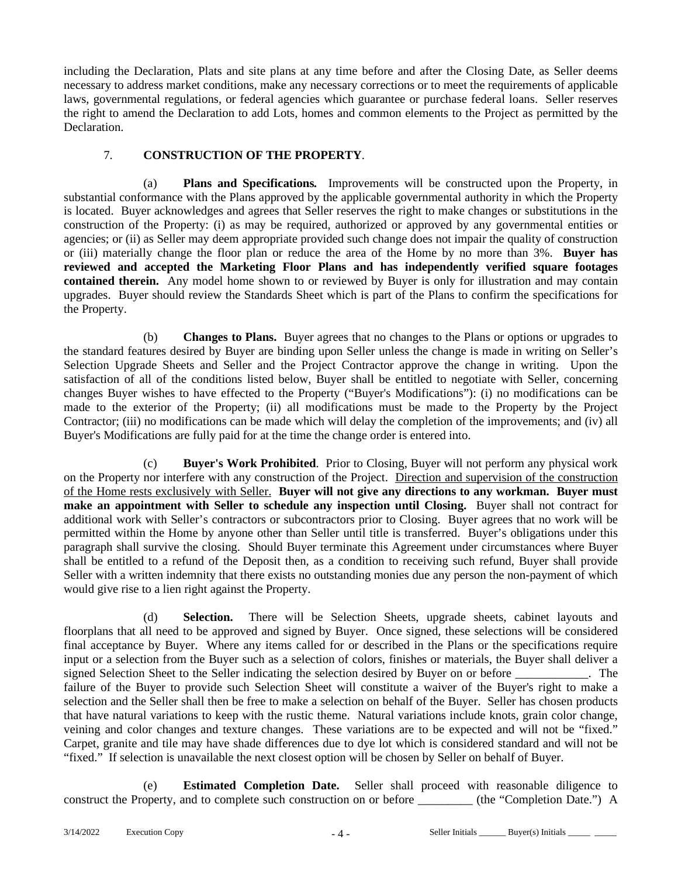including the Declaration, Plats and site plans at any time before and after the Closing Date, as Seller deems necessary to address market conditions, make any necessary corrections or to meet the requirements of applicable laws, governmental regulations, or federal agencies which guarantee or purchase federal loans. Seller reserves the right to amend the Declaration to add Lots, homes and common elements to the Project as permitted by the Declaration.

## 7. **CONSTRUCTION OF THE PROPERTY**.

(a) **Plans and Specifications***.* Improvements will be constructed upon the Property, in substantial conformance with the Plans approved by the applicable governmental authority in which the Property is located. Buyer acknowledges and agrees that Seller reserves the right to make changes or substitutions in the construction of the Property: (i) as may be required, authorized or approved by any governmental entities or agencies; or (ii) as Seller may deem appropriate provided such change does not impair the quality of construction or (iii) materially change the floor plan or reduce the area of the Home by no more than 3%. **Buyer has reviewed and accepted the Marketing Floor Plans and has independently verified square footages contained therein.** Any model home shown to or reviewed by Buyer is only for illustration and may contain upgrades. Buyer should review the Standards Sheet which is part of the Plans to confirm the specifications for the Property.

(b) **Changes to Plans.** Buyer agrees that no changes to the Plans or options or upgrades to the standard features desired by Buyer are binding upon Seller unless the change is made in writing on Seller's Selection Upgrade Sheets and Seller and the Project Contractor approve the change in writing. Upon the satisfaction of all of the conditions listed below, Buyer shall be entitled to negotiate with Seller, concerning changes Buyer wishes to have effected to the Property ("Buyer's Modifications"): (i) no modifications can be made to the exterior of the Property; (ii) all modifications must be made to the Property by the Project Contractor; (iii) no modifications can be made which will delay the completion of the improvements; and (iv) all Buyer's Modifications are fully paid for at the time the change order is entered into.

(c) **Buyer's Work Prohibited**. Prior to Closing, Buyer will not perform any physical work on the Property nor interfere with any construction of the Project. Direction and supervision of the construction of the Home rests exclusively with Seller. **Buyer will not give any directions to any workman. Buyer must make an appointment with Seller to schedule any inspection until Closing.** Buyer shall not contract for additional work with Seller's contractors or subcontractors prior to Closing. Buyer agrees that no work will be permitted within the Home by anyone other than Seller until title is transferred. Buyer's obligations under this paragraph shall survive the closing. Should Buyer terminate this Agreement under circumstances where Buyer shall be entitled to a refund of the Deposit then, as a condition to receiving such refund, Buyer shall provide Seller with a written indemnity that there exists no outstanding monies due any person the non-payment of which would give rise to a lien right against the Property.

(d) **Selection.** There will be Selection Sheets, upgrade sheets, cabinet layouts and floorplans that all need to be approved and signed by Buyer. Once signed, these selections will be considered final acceptance by Buyer. Where any items called for or described in the Plans or the specifications require input or a selection from the Buyer such as a selection of colors, finishes or materials, the Buyer shall deliver a signed Selection Sheet to the Seller indicating the selection desired by Buyer on or before \_\_\_\_\_\_\_\_\_\_\_\_. The failure of the Buyer to provide such Selection Sheet will constitute a waiver of the Buyer's right to make a selection and the Seller shall then be free to make a selection on behalf of the Buyer. Seller has chosen products that have natural variations to keep with the rustic theme. Natural variations include knots, grain color change, veining and color changes and texture changes. These variations are to be expected and will not be "fixed." Carpet, granite and tile may have shade differences due to dye lot which is considered standard and will not be "fixed." If selection is unavailable the next closest option will be chosen by Seller on behalf of Buyer.

(e) **Estimated Completion Date.** Seller shall proceed with reasonable diligence to construct the Property, and to complete such construction on or before  $(the "Completion Date.")$  A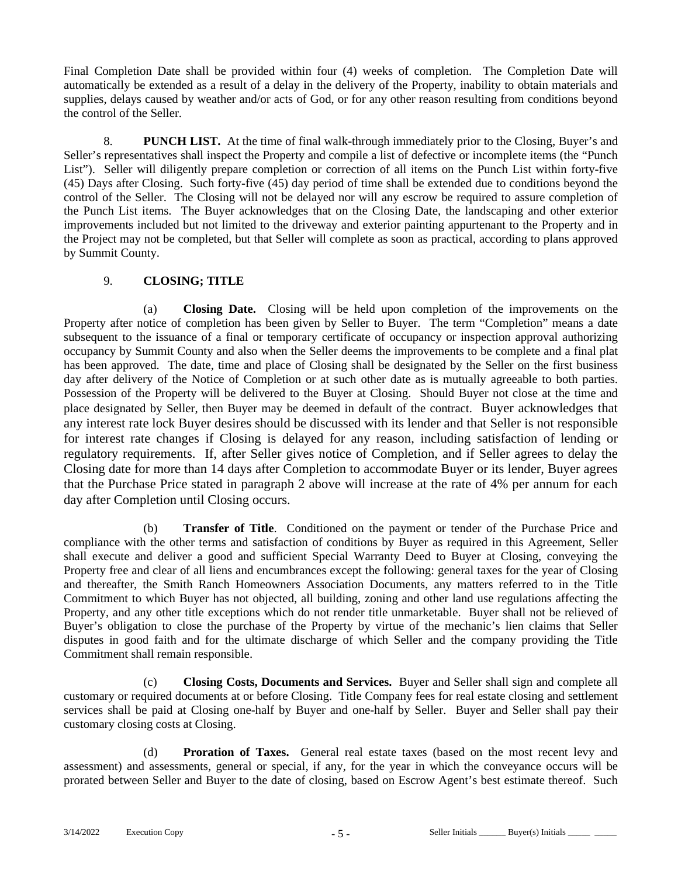Final Completion Date shall be provided within four (4) weeks of completion. The Completion Date will automatically be extended as a result of a delay in the delivery of the Property, inability to obtain materials and supplies, delays caused by weather and/or acts of God, or for any other reason resulting from conditions beyond the control of the Seller.

8. **PUNCH LIST.** At the time of final walk-through immediately prior to the Closing, Buyer's and Seller's representatives shall inspect the Property and compile a list of defective or incomplete items (the "Punch List"). Seller will diligently prepare completion or correction of all items on the Punch List within forty-five (45) Days after Closing. Such forty-five (45) day period of time shall be extended due to conditions beyond the control of the Seller. The Closing will not be delayed nor will any escrow be required to assure completion of the Punch List items. The Buyer acknowledges that on the Closing Date, the landscaping and other exterior improvements included but not limited to the driveway and exterior painting appurtenant to the Property and in the Project may not be completed, but that Seller will complete as soon as practical, according to plans approved by Summit County.

## 9. **CLOSING; TITLE**

(a) **Closing Date.** Closing will be held upon completion of the improvements on the Property after notice of completion has been given by Seller to Buyer. The term "Completion" means a date subsequent to the issuance of a final or temporary certificate of occupancy or inspection approval authorizing occupancy by Summit County and also when the Seller deems the improvements to be complete and a final plat has been approved. The date, time and place of Closing shall be designated by the Seller on the first business day after delivery of the Notice of Completion or at such other date as is mutually agreeable to both parties. Possession of the Property will be delivered to the Buyer at Closing. Should Buyer not close at the time and place designated by Seller, then Buyer may be deemed in default of the contract. Buyer acknowledges that any interest rate lock Buyer desires should be discussed with its lender and that Seller is not responsible for interest rate changes if Closing is delayed for any reason, including satisfaction of lending or regulatory requirements. If, after Seller gives notice of Completion, and if Seller agrees to delay the Closing date for more than 14 days after Completion to accommodate Buyer or its lender, Buyer agrees that the Purchase Price stated in paragraph 2 above will increase at the rate of 4% per annum for each day after Completion until Closing occurs.

(b) **Transfer of Title**. Conditioned on the payment or tender of the Purchase Price and compliance with the other terms and satisfaction of conditions by Buyer as required in this Agreement, Seller shall execute and deliver a good and sufficient Special Warranty Deed to Buyer at Closing, conveying the Property free and clear of all liens and encumbrances except the following: general taxes for the year of Closing and thereafter, the Smith Ranch Homeowners Association Documents, any matters referred to in the Title Commitment to which Buyer has not objected, all building, zoning and other land use regulations affecting the Property, and any other title exceptions which do not render title unmarketable. Buyer shall not be relieved of Buyer's obligation to close the purchase of the Property by virtue of the mechanic's lien claims that Seller disputes in good faith and for the ultimate discharge of which Seller and the company providing the Title Commitment shall remain responsible.

(c) **Closing Costs, Documents and Services.** Buyer and Seller shall sign and complete all customary or required documents at or before Closing. Title Company fees for real estate closing and settlement services shall be paid at Closing one-half by Buyer and one-half by Seller. Buyer and Seller shall pay their customary closing costs at Closing.

(d) **Proration of Taxes.** General real estate taxes (based on the most recent levy and assessment) and assessments, general or special, if any, for the year in which the conveyance occurs will be prorated between Seller and Buyer to the date of closing, based on Escrow Agent's best estimate thereof. Such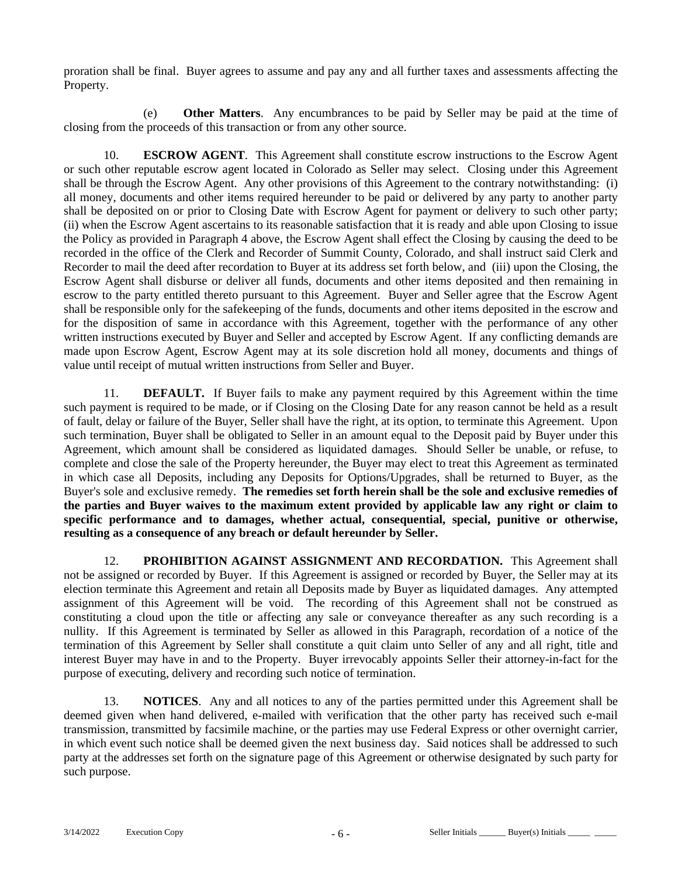proration shall be final. Buyer agrees to assume and pay any and all further taxes and assessments affecting the Property.

(e) **Other Matters**. Any encumbrances to be paid by Seller may be paid at the time of closing from the proceeds of this transaction or from any other source.

10. **ESCROW AGENT**. This Agreement shall constitute escrow instructions to the Escrow Agent or such other reputable escrow agent located in Colorado as Seller may select. Closing under this Agreement shall be through the Escrow Agent. Any other provisions of this Agreement to the contrary notwithstanding: (i) all money, documents and other items required hereunder to be paid or delivered by any party to another party shall be deposited on or prior to Closing Date with Escrow Agent for payment or delivery to such other party; (ii) when the Escrow Agent ascertains to its reasonable satisfaction that it is ready and able upon Closing to issue the Policy as provided in Paragraph 4 above, the Escrow Agent shall effect the Closing by causing the deed to be recorded in the office of the Clerk and Recorder of Summit County, Colorado, and shall instruct said Clerk and Recorder to mail the deed after recordation to Buyer at its address set forth below, and (iii) upon the Closing, the Escrow Agent shall disburse or deliver all funds, documents and other items deposited and then remaining in escrow to the party entitled thereto pursuant to this Agreement. Buyer and Seller agree that the Escrow Agent shall be responsible only for the safekeeping of the funds, documents and other items deposited in the escrow and for the disposition of same in accordance with this Agreement, together with the performance of any other written instructions executed by Buyer and Seller and accepted by Escrow Agent. If any conflicting demands are made upon Escrow Agent, Escrow Agent may at its sole discretion hold all money, documents and things of value until receipt of mutual written instructions from Seller and Buyer.

11. **DEFAULT.** If Buyer fails to make any payment required by this Agreement within the time such payment is required to be made, or if Closing on the Closing Date for any reason cannot be held as a result of fault, delay or failure of the Buyer, Seller shall have the right, at its option, to terminate this Agreement. Upon such termination, Buyer shall be obligated to Seller in an amount equal to the Deposit paid by Buyer under this Agreement, which amount shall be considered as liquidated damages. Should Seller be unable, or refuse, to complete and close the sale of the Property hereunder, the Buyer may elect to treat this Agreement as terminated in which case all Deposits, including any Deposits for Options/Upgrades, shall be returned to Buyer, as the Buyer's sole and exclusive remedy. **The remedies set forth herein shall be the sole and exclusive remedies of the parties and Buyer waives to the maximum extent provided by applicable law any right or claim to specific performance and to damages, whether actual, consequential, special, punitive or otherwise, resulting as a consequence of any breach or default hereunder by Seller.**

12. **PROHIBITION AGAINST ASSIGNMENT AND RECORDATION.** This Agreement shall not be assigned or recorded by Buyer. If this Agreement is assigned or recorded by Buyer, the Seller may at its election terminate this Agreement and retain all Deposits made by Buyer as liquidated damages. Any attempted assignment of this Agreement will be void. The recording of this Agreement shall not be construed as constituting a cloud upon the title or affecting any sale or conveyance thereafter as any such recording is a nullity. If this Agreement is terminated by Seller as allowed in this Paragraph, recordation of a notice of the termination of this Agreement by Seller shall constitute a quit claim unto Seller of any and all right, title and interest Buyer may have in and to the Property. Buyer irrevocably appoints Seller their attorney-in-fact for the purpose of executing, delivery and recording such notice of termination.

13. **NOTICES**. Any and all notices to any of the parties permitted under this Agreement shall be deemed given when hand delivered, e-mailed with verification that the other party has received such e-mail transmission, transmitted by facsimile machine, or the parties may use Federal Express or other overnight carrier, in which event such notice shall be deemed given the next business day. Said notices shall be addressed to such party at the addresses set forth on the signature page of this Agreement or otherwise designated by such party for such purpose.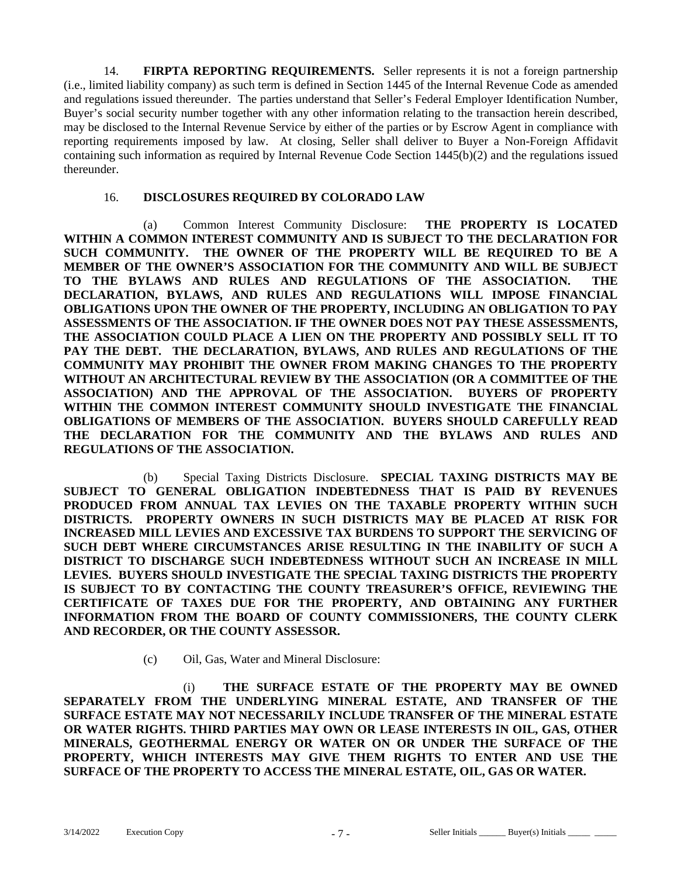14. **FIRPTA REPORTING REQUIREMENTS.** Seller represents it is not a foreign partnership (i.e., limited liability company) as such term is defined in Section 1445 of the Internal Revenue Code as amended and regulations issued thereunder. The parties understand that Seller's Federal Employer Identification Number, Buyer's social security number together with any other information relating to the transaction herein described, may be disclosed to the Internal Revenue Service by either of the parties or by Escrow Agent in compliance with reporting requirements imposed by law. At closing, Seller shall deliver to Buyer a Non-Foreign Affidavit containing such information as required by Internal Revenue Code Section 1445(b)(2) and the regulations issued thereunder.

#### 16. **DISCLOSURES REQUIRED BY COLORADO LAW**

(a) Common Interest Community Disclosure: **THE PROPERTY IS LOCATED WITHIN A COMMON INTEREST COMMUNITY AND IS SUBJECT TO THE DECLARATION FOR SUCH COMMUNITY. THE OWNER OF THE PROPERTY WILL BE REQUIRED TO BE A MEMBER OF THE OWNER'S ASSOCIATION FOR THE COMMUNITY AND WILL BE SUBJECT TO THE BYLAWS AND RULES AND REGULATIONS OF THE ASSOCIATION. THE DECLARATION, BYLAWS, AND RULES AND REGULATIONS WILL IMPOSE FINANCIAL OBLIGATIONS UPON THE OWNER OF THE PROPERTY, INCLUDING AN OBLIGATION TO PAY ASSESSMENTS OF THE ASSOCIATION. IF THE OWNER DOES NOT PAY THESE ASSESSMENTS, THE ASSOCIATION COULD PLACE A LIEN ON THE PROPERTY AND POSSIBLY SELL IT TO PAY THE DEBT. THE DECLARATION, BYLAWS, AND RULES AND REGULATIONS OF THE COMMUNITY MAY PROHIBIT THE OWNER FROM MAKING CHANGES TO THE PROPERTY WITHOUT AN ARCHITECTURAL REVIEW BY THE ASSOCIATION (OR A COMMITTEE OF THE ASSOCIATION) AND THE APPROVAL OF THE ASSOCIATION. BUYERS OF PROPERTY WITHIN THE COMMON INTEREST COMMUNITY SHOULD INVESTIGATE THE FINANCIAL OBLIGATIONS OF MEMBERS OF THE ASSOCIATION. BUYERS SHOULD CAREFULLY READ THE DECLARATION FOR THE COMMUNITY AND THE BYLAWS AND RULES AND REGULATIONS OF THE ASSOCIATION.** 

(b) Special Taxing Districts Disclosure. **SPECIAL TAXING DISTRICTS MAY BE SUBJECT TO GENERAL OBLIGATION INDEBTEDNESS THAT IS PAID BY REVENUES PRODUCED FROM ANNUAL TAX LEVIES ON THE TAXABLE PROPERTY WITHIN SUCH DISTRICTS. PROPERTY OWNERS IN SUCH DISTRICTS MAY BE PLACED AT RISK FOR INCREASED MILL LEVIES AND EXCESSIVE TAX BURDENS TO SUPPORT THE SERVICING OF SUCH DEBT WHERE CIRCUMSTANCES ARISE RESULTING IN THE INABILITY OF SUCH A DISTRICT TO DISCHARGE SUCH INDEBTEDNESS WITHOUT SUCH AN INCREASE IN MILL LEVIES. BUYERS SHOULD INVESTIGATE THE SPECIAL TAXING DISTRICTS THE PROPERTY IS SUBJECT TO BY CONTACTING THE COUNTY TREASURER'S OFFICE, REVIEWING THE CERTIFICATE OF TAXES DUE FOR THE PROPERTY, AND OBTAINING ANY FURTHER INFORMATION FROM THE BOARD OF COUNTY COMMISSIONERS, THE COUNTY CLERK AND RECORDER, OR THE COUNTY ASSESSOR.** 

(c) Oil, Gas, Water and Mineral Disclosure:

(i) **THE SURFACE ESTATE OF THE PROPERTY MAY BE OWNED SEPARATELY FROM THE UNDERLYING MINERAL ESTATE, AND TRANSFER OF THE SURFACE ESTATE MAY NOT NECESSARILY INCLUDE TRANSFER OF THE MINERAL ESTATE OR WATER RIGHTS. THIRD PARTIES MAY OWN OR LEASE INTERESTS IN OIL, GAS, OTHER MINERALS, GEOTHERMAL ENERGY OR WATER ON OR UNDER THE SURFACE OF THE PROPERTY, WHICH INTERESTS MAY GIVE THEM RIGHTS TO ENTER AND USE THE SURFACE OF THE PROPERTY TO ACCESS THE MINERAL ESTATE, OIL, GAS OR WATER.**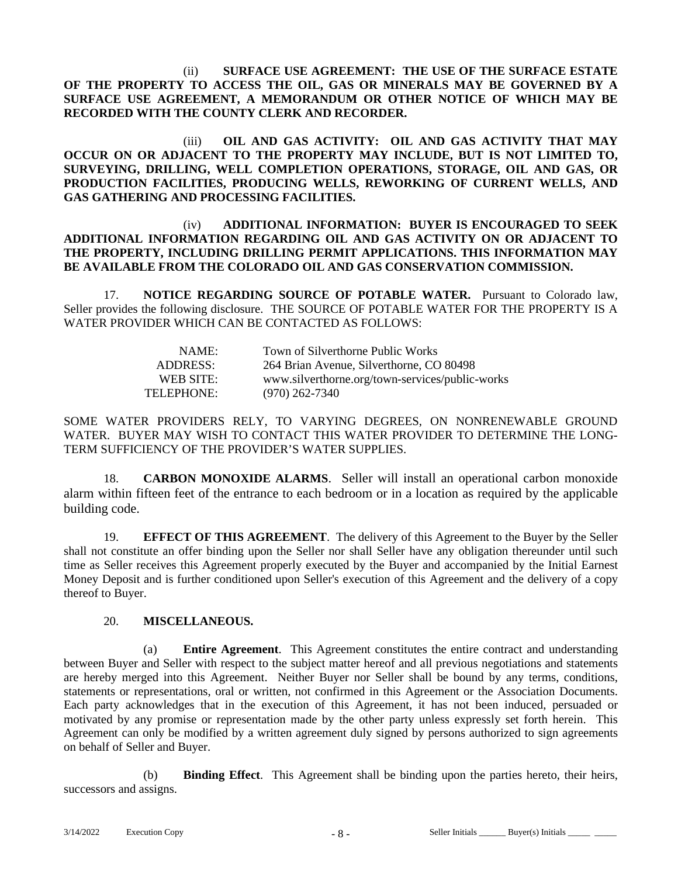(ii) **SURFACE USE AGREEMENT: THE USE OF THE SURFACE ESTATE OF THE PROPERTY TO ACCESS THE OIL, GAS OR MINERALS MAY BE GOVERNED BY A SURFACE USE AGREEMENT, A MEMORANDUM OR OTHER NOTICE OF WHICH MAY BE RECORDED WITH THE COUNTY CLERK AND RECORDER.** 

(iii) **OIL AND GAS ACTIVITY: OIL AND GAS ACTIVITY THAT MAY OCCUR ON OR ADJACENT TO THE PROPERTY MAY INCLUDE, BUT IS NOT LIMITED TO, SURVEYING, DRILLING, WELL COMPLETION OPERATIONS, STORAGE, OIL AND GAS, OR PRODUCTION FACILITIES, PRODUCING WELLS, REWORKING OF CURRENT WELLS, AND GAS GATHERING AND PROCESSING FACILITIES.** 

#### (iv) **ADDITIONAL INFORMATION: BUYER IS ENCOURAGED TO SEEK ADDITIONAL INFORMATION REGARDING OIL AND GAS ACTIVITY ON OR ADJACENT TO THE PROPERTY, INCLUDING DRILLING PERMIT APPLICATIONS. THIS INFORMATION MAY BE AVAILABLE FROM THE COLORADO OIL AND GAS CONSERVATION COMMISSION.**

17. **NOTICE REGARDING SOURCE OF POTABLE WATER.** Pursuant to Colorado law, Seller provides the following disclosure. THE SOURCE OF POTABLE WATER FOR THE PROPERTY IS A WATER PROVIDER WHICH CAN BE CONTACTED AS FOLLOWS:

| NAME:      | Town of Silverthorne Public Works               |
|------------|-------------------------------------------------|
| ADDRESS:   | 264 Brian Avenue, Silverthorne, CO 80498        |
| WEB SITE:  | www.silverthorne.org/town-services/public-works |
| TELEPHONE: | $(970)$ 262-7340                                |

SOME WATER PROVIDERS RELY, TO VARYING DEGREES, ON NONRENEWABLE GROUND WATER. BUYER MAY WISH TO CONTACT THIS WATER PROVIDER TO DETERMINE THE LONG-TERM SUFFICIENCY OF THE PROVIDER'S WATER SUPPLIES.

18. **CARBON MONOXIDE ALARMS**. Seller will install an operational carbon monoxide alarm within fifteen feet of the entrance to each bedroom or in a location as required by the applicable building code.

19. **EFFECT OF THIS AGREEMENT**. The delivery of this Agreement to the Buyer by the Seller shall not constitute an offer binding upon the Seller nor shall Seller have any obligation thereunder until such time as Seller receives this Agreement properly executed by the Buyer and accompanied by the Initial Earnest Money Deposit and is further conditioned upon Seller's execution of this Agreement and the delivery of a copy thereof to Buyer.

#### 20. **MISCELLANEOUS.**

(a) **Entire Agreement**. This Agreement constitutes the entire contract and understanding between Buyer and Seller with respect to the subject matter hereof and all previous negotiations and statements are hereby merged into this Agreement. Neither Buyer nor Seller shall be bound by any terms, conditions, statements or representations, oral or written, not confirmed in this Agreement or the Association Documents. Each party acknowledges that in the execution of this Agreement, it has not been induced, persuaded or motivated by any promise or representation made by the other party unless expressly set forth herein. This Agreement can only be modified by a written agreement duly signed by persons authorized to sign agreements on behalf of Seller and Buyer.

(b) **Binding Effect**. This Agreement shall be binding upon the parties hereto, their heirs, successors and assigns.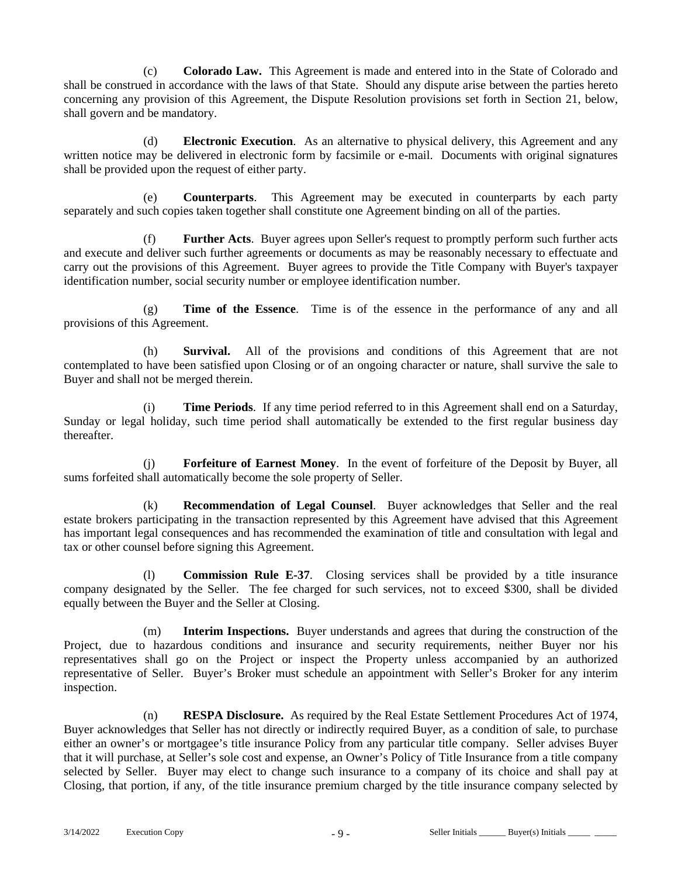(c) **Colorado Law.** This Agreement is made and entered into in the State of Colorado and shall be construed in accordance with the laws of that State. Should any dispute arise between the parties hereto concerning any provision of this Agreement, the Dispute Resolution provisions set forth in Section 21, below, shall govern and be mandatory.

(d) **Electronic Execution**. As an alternative to physical delivery, this Agreement and any written notice may be delivered in electronic form by facsimile or e-mail. Documents with original signatures shall be provided upon the request of either party.

(e) **Counterparts**. This Agreement may be executed in counterparts by each party separately and such copies taken together shall constitute one Agreement binding on all of the parties.

(f) **Further Acts**. Buyer agrees upon Seller's request to promptly perform such further acts and execute and deliver such further agreements or documents as may be reasonably necessary to effectuate and carry out the provisions of this Agreement. Buyer agrees to provide the Title Company with Buyer's taxpayer identification number, social security number or employee identification number.

(g) **Time of the Essence**. Time is of the essence in the performance of any and all provisions of this Agreement.

(h) **Survival.** All of the provisions and conditions of this Agreement that are not contemplated to have been satisfied upon Closing or of an ongoing character or nature, shall survive the sale to Buyer and shall not be merged therein.

(i) **Time Periods**. If any time period referred to in this Agreement shall end on a Saturday, Sunday or legal holiday, such time period shall automatically be extended to the first regular business day thereafter.

(j) **Forfeiture of Earnest Money**. In the event of forfeiture of the Deposit by Buyer, all sums forfeited shall automatically become the sole property of Seller.

(k) **Recommendation of Legal Counsel**. Buyer acknowledges that Seller and the real estate brokers participating in the transaction represented by this Agreement have advised that this Agreement has important legal consequences and has recommended the examination of title and consultation with legal and tax or other counsel before signing this Agreement.

(l) **Commission Rule E-37**. Closing services shall be provided by a title insurance company designated by the Seller. The fee charged for such services, not to exceed \$300, shall be divided equally between the Buyer and the Seller at Closing.

(m) **Interim Inspections.** Buyer understands and agrees that during the construction of the Project, due to hazardous conditions and insurance and security requirements, neither Buyer nor his representatives shall go on the Project or inspect the Property unless accompanied by an authorized representative of Seller. Buyer's Broker must schedule an appointment with Seller's Broker for any interim inspection.

(n) **RESPA Disclosure.** As required by the Real Estate Settlement Procedures Act of 1974, Buyer acknowledges that Seller has not directly or indirectly required Buyer, as a condition of sale, to purchase either an owner's or mortgagee's title insurance Policy from any particular title company. Seller advises Buyer that it will purchase, at Seller's sole cost and expense, an Owner's Policy of Title Insurance from a title company selected by Seller. Buyer may elect to change such insurance to a company of its choice and shall pay at Closing, that portion, if any, of the title insurance premium charged by the title insurance company selected by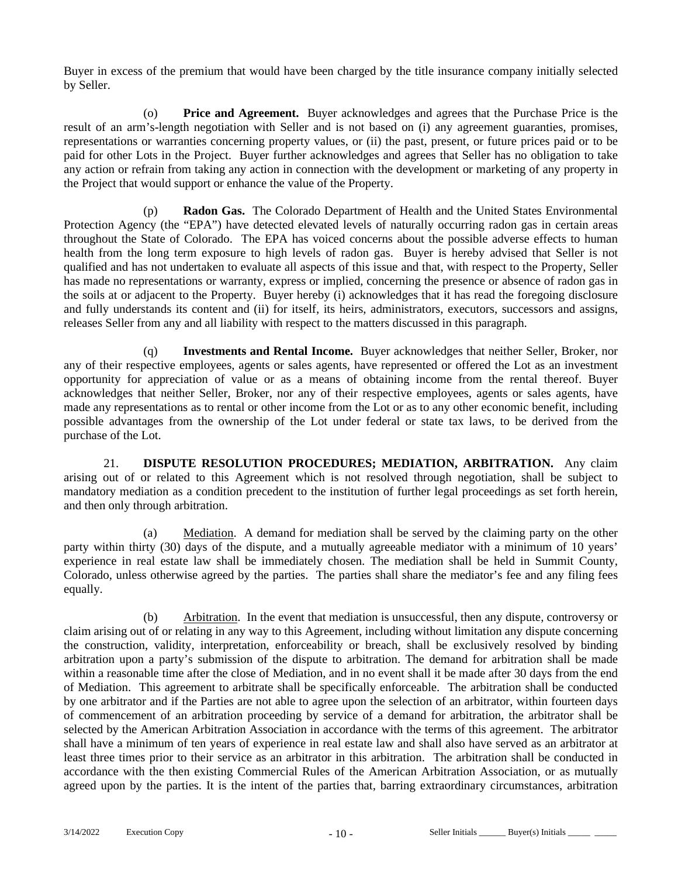Buyer in excess of the premium that would have been charged by the title insurance company initially selected by Seller.

(o) **Price and Agreement.** Buyer acknowledges and agrees that the Purchase Price is the result of an arm's-length negotiation with Seller and is not based on (i) any agreement guaranties, promises, representations or warranties concerning property values, or (ii) the past, present, or future prices paid or to be paid for other Lots in the Project. Buyer further acknowledges and agrees that Seller has no obligation to take any action or refrain from taking any action in connection with the development or marketing of any property in the Project that would support or enhance the value of the Property.

(p) **Radon Gas.** The Colorado Department of Health and the United States Environmental Protection Agency (the "EPA") have detected elevated levels of naturally occurring radon gas in certain areas throughout the State of Colorado. The EPA has voiced concerns about the possible adverse effects to human health from the long term exposure to high levels of radon gas. Buyer is hereby advised that Seller is not qualified and has not undertaken to evaluate all aspects of this issue and that, with respect to the Property, Seller has made no representations or warranty, express or implied, concerning the presence or absence of radon gas in the soils at or adjacent to the Property. Buyer hereby (i) acknowledges that it has read the foregoing disclosure and fully understands its content and (ii) for itself, its heirs, administrators, executors, successors and assigns, releases Seller from any and all liability with respect to the matters discussed in this paragraph.

(q) **Investments and Rental Income.** Buyer acknowledges that neither Seller, Broker, nor any of their respective employees, agents or sales agents, have represented or offered the Lot as an investment opportunity for appreciation of value or as a means of obtaining income from the rental thereof. Buyer acknowledges that neither Seller, Broker, nor any of their respective employees, agents or sales agents, have made any representations as to rental or other income from the Lot or as to any other economic benefit, including possible advantages from the ownership of the Lot under federal or state tax laws, to be derived from the purchase of the Lot.

21. **DISPUTE RESOLUTION PROCEDURES; MEDIATION, ARBITRATION.** Any claim arising out of or related to this Agreement which is not resolved through negotiation, shall be subject to mandatory mediation as a condition precedent to the institution of further legal proceedings as set forth herein, and then only through arbitration.

(a) Mediation. A demand for mediation shall be served by the claiming party on the other party within thirty (30) days of the dispute, and a mutually agreeable mediator with a minimum of 10 years' experience in real estate law shall be immediately chosen. The mediation shall be held in Summit County, Colorado, unless otherwise agreed by the parties. The parties shall share the mediator's fee and any filing fees equally.

(b) Arbitration. In the event that mediation is unsuccessful, then any dispute, controversy or claim arising out of or relating in any way to this Agreement, including without limitation any dispute concerning the construction, validity, interpretation, enforceability or breach, shall be exclusively resolved by binding arbitration upon a party's submission of the dispute to arbitration. The demand for arbitration shall be made within a reasonable time after the close of Mediation, and in no event shall it be made after 30 days from the end of Mediation. This agreement to arbitrate shall be specifically enforceable. The arbitration shall be conducted by one arbitrator and if the Parties are not able to agree upon the selection of an arbitrator, within fourteen days of commencement of an arbitration proceeding by service of a demand for arbitration, the arbitrator shall be selected by the American Arbitration Association in accordance with the terms of this agreement. The arbitrator shall have a minimum of ten years of experience in real estate law and shall also have served as an arbitrator at least three times prior to their service as an arbitrator in this arbitration. The arbitration shall be conducted in accordance with the then existing Commercial Rules of the American Arbitration Association, or as mutually agreed upon by the parties. It is the intent of the parties that, barring extraordinary circumstances, arbitration